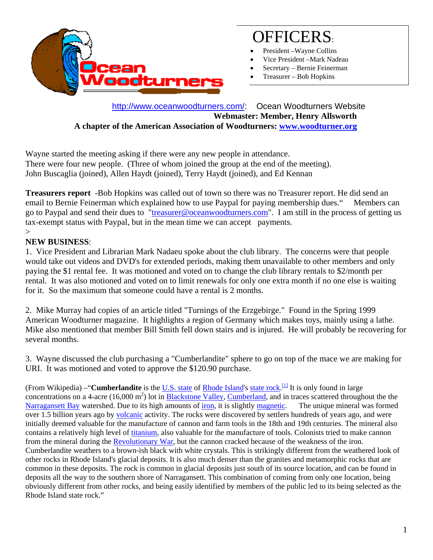

# OFFICERS:

- President Wayne Collins
- Vice President –Mark Nadeau
- Secretary Bernie Feinerman
- Treasurer Bob Hopkins

 http://www.oceanwoodturners.com/: Ocean Woodturners Website **Webmaster: Member, Henry Allsworth A chapter of the American Association of Woodturners: www.woodturner.org** 

Wayne started the meeting asking if there were any new people in attendance. There were four new people. (Three of whom joined the group at the end of the meeting). John Buscaglia (joined), Allen Haydt (joined), Terry Haydt (joined), and Ed Kennan

**Treasurers report** -Bob Hopkins was called out of town so there was no Treasurer report. He did send an email to Bernie Feinerman which explained how to use Paypal for paying membership dues." Members can go to Paypal and send their dues to "treasurer@oceanwoodturners.com". I am still in the process of getting us tax-exempt status with Paypal, but in the mean time we can accept payments.

#### $\geq$ **NEW BUSINESS**:

1. Vice President and Librarian Mark Nadaeu spoke about the club library. The concerns were that people would take out videos and DVD's for extended periods, making them unavailable to other members and only paying the \$1 rental fee. It was motioned and voted on to change the club library rentals to \$2/month per rental. It was also motioned and voted on to limit renewals for only one extra month if no one else is waiting for it. So the maximum that someone could have a rental is 2 months.

2. Mike Murray had copies of an article titled "Turnings of the Erzgebirge." Found in the Spring 1999 American Woodturner magazine. It highlights a region of Germany which makes toys, mainly using a lathe. Mike also mentioned that member Bill Smith fell down stairs and is injured. He will probably be recovering for several months.

3. Wayne discussed the club purchasing a "Cumberlandite" sphere to go on top of the mace we are making for URI. It was motioned and voted to approve the \$120.90 purchase.

(From Wikipedia) –"**Cumberlandite** is the U.S. state of Rhode Island's state rock. [1] It is only found in large concentrations on a 4-acre (16,000  $\text{m}^2$ ) lot in **Blackstone Valley, Cumberland**, and in traces scattered throughout the the Narragansett Bay watershed. Due to its high amounts of iron, it is slightly magnetic. The unique mineral was formed over 1.5 billion years ago by volcanic activity. The rocks were discovered by settlers hundreds of years ago, and were initially deemed valuable for the manufacture of cannon and farm tools in the 18th and 19th centuries. The mineral also contains a relatively high level of titanium, also valuable for the manufacture of tools. Colonists tried to make cannon from the mineral during the Revolutionary War, but the cannon cracked because of the weakness of the iron. Cumberlandite weathers to a brown-ish black with white crystals. This is strikingly different from the weathered look of other rocks in Rhode Island's glacial deposits. It is also much denser than the granites and metamorphic rocks that are common in these deposits. The rock is common in glacial deposits just south of its source location, and can be found in deposits all the way to the southern shore of Narragansett. This combination of coming from only one location, being obviously different from other rocks, and being easily identified by members of the public led to its being selected as the Rhode Island state rock."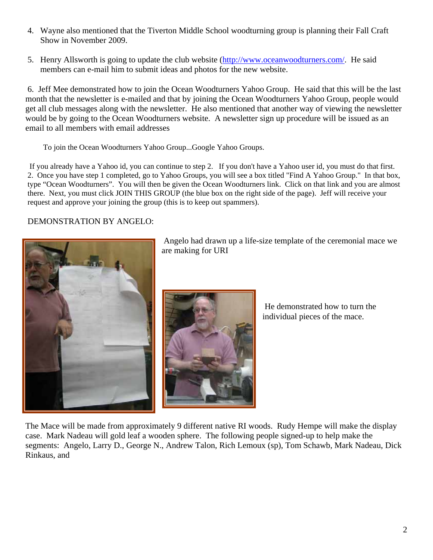- 4. Wayne also mentioned that the Tiverton Middle School woodturning group is planning their Fall Craft Show in November 2009.
- 5. Henry Allsworth is going to update the club website (http://www.oceanwoodturners.com/. He said members can e-mail him to submit ideas and photos for the new website.

 6. Jeff Mee demonstrated how to join the Ocean Woodturners Yahoo Group. He said that this will be the last month that the newsletter is e-mailed and that by joining the Ocean Woodturners Yahoo Group, people would get all club messages along with the newsletter. He also mentioned that another way of viewing the newsletter would be by going to the Ocean Woodturners website. A newsletter sign up procedure will be issued as an email to all members with email addresses

To join the Ocean Woodturners Yahoo Group...Google Yahoo Groups.

 If you already have a Yahoo id, you can continue to step 2. If you don't have a Yahoo user id, you must do that first. 2. Once you have step 1 completed, go to Yahoo Groups, you will see a box titled "Find A Yahoo Group." In that box, type "Ocean Woodturners". You will then be given the Ocean Woodturners link. Click on that link and you are almost there. Next, you must click JOIN THIS GROUP (the blue box on the right side of the page). Jeff will receive your request and approve your joining the group (this is to keep out spammers).

#### DEMONSTRATION BY ANGELO:



 Angelo had drawn up a life-size template of the ceremonial mace we are making for URI



 He demonstrated how to turn the individual pieces of the mace.

The Mace will be made from approximately 9 different native RI woods. Rudy Hempe will make the display case. Mark Nadeau will gold leaf a wooden sphere. The following people signed-up to help make the segments: Angelo, Larry D., George N., Andrew Talon, Rich Lemoux (sp), Tom Schawb, Mark Nadeau, Dick Rinkaus, and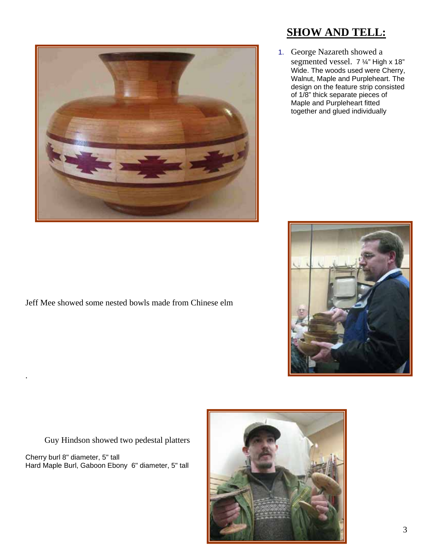

#### Jeff Mee showed some nested bowls made from Chinese elm

### Guy Hindson showed two pedestal platters

Cherry burl 8" diameter, 5" tall Hard Maple Burl, Gaboon Ebony 6" diameter, 5" tall

.

## **SHOW AND TELL:**

1. George Nazareth showed a segmented vessel. 7 ¼" High x 18" Wide. The woods used were Cherry, Walnut, Maple and Purpleheart. The design on the feature strip consisted of 1/8" thick separate pieces of Maple and Purpleheart fitted together and glued individually